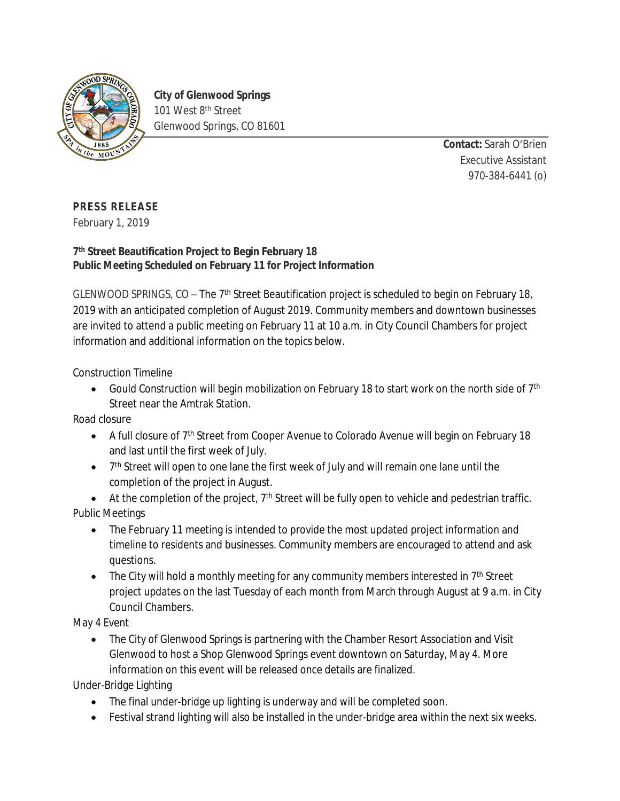

**City of Glenwood Springs** 101 West 8<sup>th</sup> Street Glenwood Springs, CO 81601

> **Contact:** Sarah O'Brien Executive Assistant 970-384-6441 (o)

## **PRESS RELEASE**

February 1, 2019

## **7 th Street Beautification Project to Begin February 18 Public Meeting Scheduled on February 11 for Project Information**

GLENWOOD SPRINGS, CO - The 7<sup>th</sup> Street Beautification project is scheduled to begin on February 18, 2019 with an anticipated completion of August 2019. Community members and downtown businesses are invited to attend a public meeting on February 11 at 10 a.m. in City Council Chambers for project information and additional information on the topics below.

Construction Timeline

Gould Construction will begin mobilization on February 18 to start work on the north side of  $7<sup>th</sup>$ Street near the Amtrak Station.

Road closure

- A full closure of 7th Street from Cooper Avenue to Colorado Avenue will begin on February 18 and last until the first week of July.
- 7<sup>th</sup> Street will open to one lane the first week of July and will remain one lane until the completion of the project in August.
- $\bullet$  At the completion of the project,  $7<sup>th</sup>$  Street will be fully open to vehicle and pedestrian traffic. Public Meetings
	- The February 11 meeting is intended to provide the most updated project information and timeline to residents and businesses. Community members are encouraged to attend and ask questions.
	- The City will hold a monthly meeting for any community members interested in  $7<sup>th</sup>$  Street project updates on the last Tuesday of each month from March through August at 9 a.m. in City Council Chambers.

May 4 Event

 The City of Glenwood Springs is partnering with the Chamber Resort Association and Visit Glenwood to host a Shop Glenwood Springs event downtown on Saturday, May 4. More information on this event will be released once details are finalized.

Under-Bridge Lighting

- The final under-bridge up lighting is underway and will be completed soon.
- Festival strand lighting will also be installed in the under-bridge area within the next six weeks.